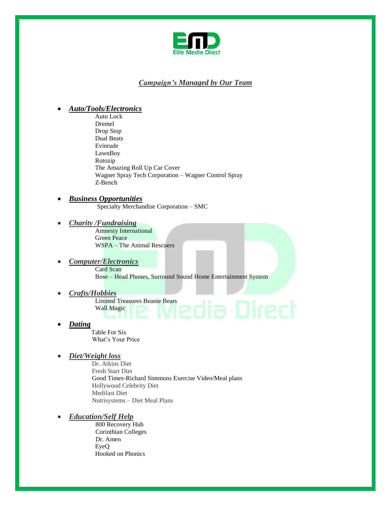

# *Campaign's Managed by Our Team*

## *Auto/Tools/Electronics*

 Auto Lock Dremel Drop Stop Dual Beats Evinrude LawnBoy Rotozip The Amazing Roll Up Car Cover Wagner Spray Tech Corporation – Wagner Control Spray Z-Bench

## *Business Opportunities*

Specialty Merchandise Corporation – SMC

*Charity /Fundraising*

 Amnesty International Green Peace WSPA – The Animal Rescuers

- *Computer/Electronics* Card Scan Bose – Head Phones, Surround Sound Home Entertainment System
	- *Crafts/Hobbies* Limited Treasures Beanie Bears<br>Wall Magic **COMPOTER** Wall Magic
- *Dating*

 Table For Six What's Your Price

*Diet/Weight loss* 

Dr. Atkins Diet Fresh Start Diet Good Times-Richard Simmons Exercise Video/Meal plans Hollywood Celebrity Diet Medifast Diet Nutrisystems – Diet Meal Plans

*Education/Self Help*

 800 Recovery Hub Corinthian Colleges Dr. Amen EyeQ Hooked on Phonics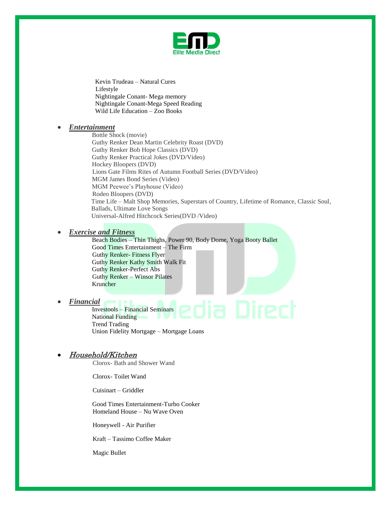

 Kevin Trudeau – Natural Cures Lifestyle Nightingale Conant- Mega memory Nightingale Conant-Mega Speed Reading Wild Life Education – Zoo Books

### *Entertainment*

Bottle Shock (movie) Guthy Renker Dean Martin Celebrity Roast (DVD) Guthy Renker Bob Hope Classics (DVD) Guthy Renker Practical Jokes (DVD/Video) Hockey Bloopers (DVD) Lions Gate Films Rites of Autumn Football Series (DVD/Video) MGM James Bond Series (Video) MGM Peewee's Playhouse (Video) Rodeo Bloopers (DVD) Time Life – Malt Shop Memories, Superstars of Country, Lifetime of Romance, Classic Soul, Ballads, Ultimate Love Songs Universal-Alfred Hitchcock Series(DVD /Video)

### *Exercise and Fitness*

Beach Bodies – Thin Thighs, Power 90, Body Dome, Yoga Booty Ballet Good Times Entertainment – The Firm Guthy Renker- Fitness Flyer Guthy Renker Kathy Smith Walk Fit Guthy Renker-Perfect Abs Guthy Renker – Winsor Pilates Kruncher

### *Financial*

Investools – Financial Seminars National Funding Trend Trading Union Fidelity Mortgage – Mortgage Loans

## Household/Kitchen

Clorox- Bath and Shower Wand

Clorox- Toilet Wand

Cuisinart – Griddler

 Good Times Entertainment-Turbo Cooker Homeland House – Nu Wave Oven

Honeywell - Air Purifier

Kraft – Tassimo Coffee Maker

Magic Bullet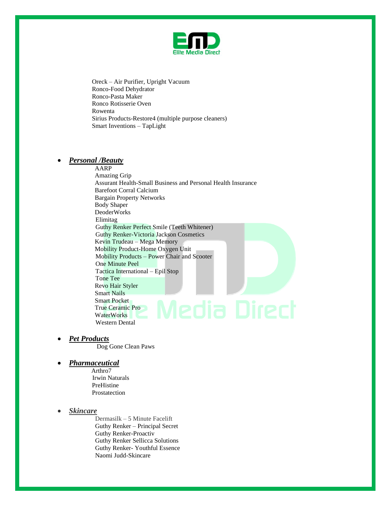

Oreck – Air Purifier, Upright Vacuum Ronco-Food Dehydrator Ronco-Pasta Maker Ronco Rotisserie Oven Rowenta Sirius Products-Restore4 (multiple purpose cleaners) Smart Inventions – TapLight

### *Personal /Beauty*

AARP Amazing Grip Assurant Health-Small Business and Personal Health Insurance Barefoot Corral Calcium Bargain Property Networks Body Shaper DeoderWorks Elimitag Guthy Renker Perfect Smile (Teeth Whitener) Guthy Renker-Victoria Jackson Cosmetics Kevin Trudeau – Mega Memory Mobility Product-Home Oxygen Unit Mobility Products – Power Chair and Scooter One Minute Peel Tactica International – Epil Stop Tone Tee Revo Hair Styler Smart Nails Smart Pocket True Ceramic Pro WaterWorks Western Dental

*Pet Products*

Dog Gone Clean Paws

### *Pharmaceutical*

 Arthro7 Irwin Naturals PreHistine Prostatection

### *Skincare*

 Dermasilk – 5 Minute Facelift Guthy Renker – Principal Secret Guthy Renker-Proactiv Guthy Renker Sellicca Solutions Guthy Renker- Youthful Essence Naomi Judd-Skincare